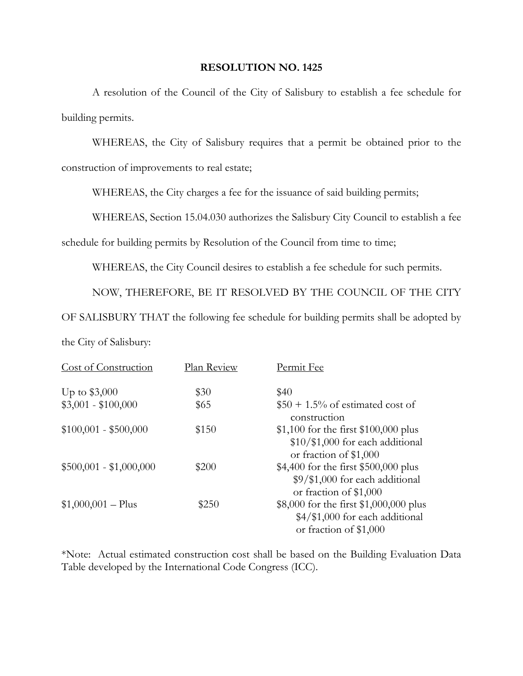## **RESOLUTION NO. 1425**

 A resolution of the Council of the City of Salisbury to establish a fee schedule for building permits.

 WHEREAS, the City of Salisbury requires that a permit be obtained prior to the construction of improvements to real estate;

WHEREAS, the City charges a fee for the issuance of said building permits;

WHEREAS, Section 15.04.030 authorizes the Salisbury City Council to establish a fee

schedule for building permits by Resolution of the Council from time to time;

WHEREAS, the City Council desires to establish a fee schedule for such permits.

NOW, THEREFORE, BE IT RESOLVED BY THE COUNCIL OF THE CITY

OF SALISBURY THAT the following fee schedule for building permits shall be adopted by

the City of Salisbury:

| Cost of Construction    | Plan Review | Permit Fee                                                                                           |
|-------------------------|-------------|------------------------------------------------------------------------------------------------------|
| Up to $$3,000$          | \$30        | \$40                                                                                                 |
| $$3,001 - $100,000$     | \$65        | $$50 + 1.5\%$ of estimated cost of<br>construction                                                   |
| $$100,001 - $500,000$   | \$150       | \$1,100 for the first $$100,000$ plus<br>$$10/\$1,000$ for each additional<br>or fraction of \$1,000 |
| $$500,001 - $1,000,000$ | \$200       | \$4,400 for the first \$500,000 plus<br>\$9/\$1,000 for each additional<br>or fraction of \$1,000    |
| $$1,000,001 - Plus$     | \$250       | \$8,000 for the first \$1,000,000 plus<br>\$4/\$1,000 for each additional<br>or fraction of \$1,000  |

\*Note: Actual estimated construction cost shall be based on the Building Evaluation Data Table developed by the International Code Congress (ICC).